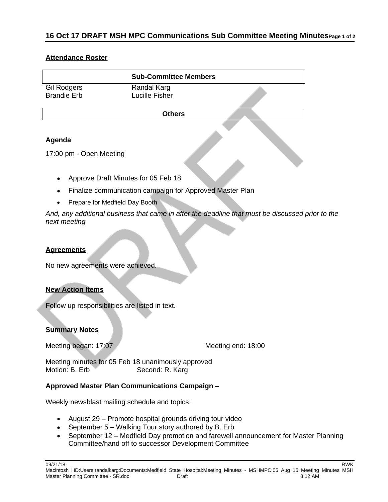# **16 Oct 17 DRAFT MSH MPC Communications Sub Committee Meeting MinutesPage 1 of 2**

#### **Attendance Roster**

|                                   | <b>Sub-Committee Members</b>  |  |
|-----------------------------------|-------------------------------|--|
| Gil Rodgers<br><b>Brandie Erb</b> | Randal Karg<br>Lucille Fisher |  |
|                                   | <b>Others</b>                 |  |
|                                   |                               |  |

## **Agenda**

17:00 pm - Open Meeting

- Approve Draft Minutes for 05 Feb 18
- Finalize communication campaign for Approved Master Plan
- Prepare for Medfield Day Booth

*And, any additional business that came in after the deadline that must be discussed prior to the next meeting*

#### **Agreements**

No new agreements were achieved.

## **New Action Items**

Follow up responsibilities are listed in text.

## **Summary Notes**

Meeting began: 17:07

Meeting minutes for 05 Feb 18 unanimously approved Motion: B. Erb Second: R. Karg

## **Approved Master Plan Communications Campaign –**

Weekly newsblast mailing schedule and topics:

- August 29 Promote hospital grounds driving tour video
- September 5 Walking Tour story authored by B. Erb
- September 12 Medfield Day promotion and farewell announcement for Master Planning Committee/hand off to successor Development Committee